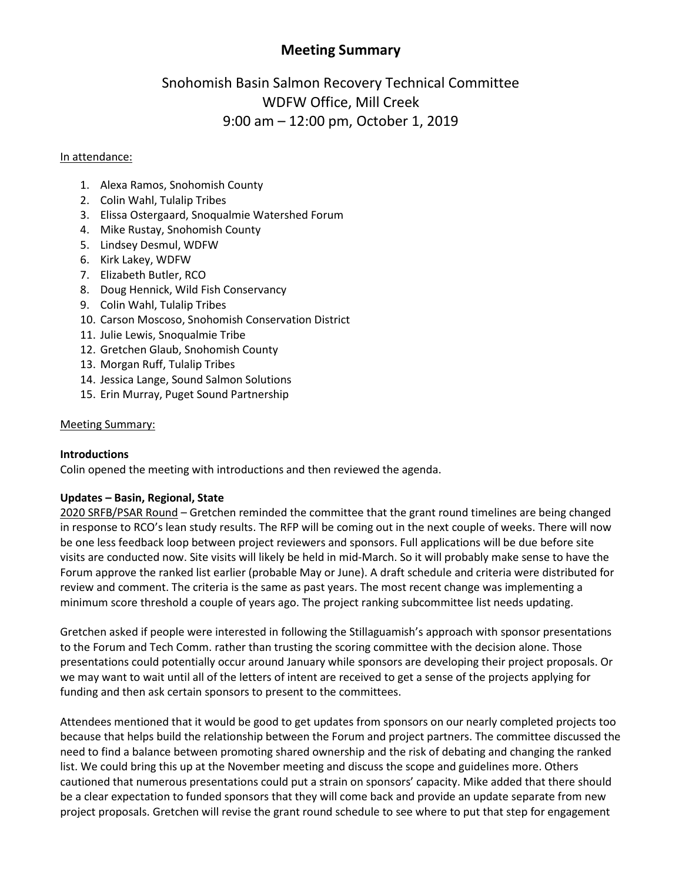# **Meeting Summary**

# Snohomish Basin Salmon Recovery Technical Committee WDFW Office, Mill Creek 9:00 am – 12:00 pm, October 1, 2019

#### In attendance:

- 1. Alexa Ramos, Snohomish County
- 2. Colin Wahl, Tulalip Tribes
- 3. Elissa Ostergaard, Snoqualmie Watershed Forum
- 4. Mike Rustay, Snohomish County
- 5. Lindsey Desmul, WDFW
- 6. Kirk Lakey, WDFW
- 7. Elizabeth Butler, RCO
- 8. Doug Hennick, Wild Fish Conservancy
- 9. Colin Wahl, Tulalip Tribes
- 10. Carson Moscoso, Snohomish Conservation District
- 11. Julie Lewis, Snoqualmie Tribe
- 12. Gretchen Glaub, Snohomish County
- 13. Morgan Ruff, Tulalip Tribes
- 14. Jessica Lange, Sound Salmon Solutions
- 15. Erin Murray, Puget Sound Partnership

#### Meeting Summary:

# **Introductions**

Colin opened the meeting with introductions and then reviewed the agenda.

# **Updates – Basin, Regional, State**

2020 SRFB/PSAR Round – Gretchen reminded the committee that the grant round timelines are being changed in response to RCO's lean study results. The RFP will be coming out in the next couple of weeks. There will now be one less feedback loop between project reviewers and sponsors. Full applications will be due before site visits are conducted now. Site visits will likely be held in mid-March. So it will probably make sense to have the Forum approve the ranked list earlier (probable May or June). A draft schedule and criteria were distributed for review and comment. The criteria is the same as past years. The most recent change was implementing a minimum score threshold a couple of years ago. The project ranking subcommittee list needs updating.

Gretchen asked if people were interested in following the Stillaguamish's approach with sponsor presentations to the Forum and Tech Comm. rather than trusting the scoring committee with the decision alone. Those presentations could potentially occur around January while sponsors are developing their project proposals. Or we may want to wait until all of the letters of intent are received to get a sense of the projects applying for funding and then ask certain sponsors to present to the committees.

Attendees mentioned that it would be good to get updates from sponsors on our nearly completed projects too because that helps build the relationship between the Forum and project partners. The committee discussed the need to find a balance between promoting shared ownership and the risk of debating and changing the ranked list. We could bring this up at the November meeting and discuss the scope and guidelines more. Others cautioned that numerous presentations could put a strain on sponsors' capacity. Mike added that there should be a clear expectation to funded sponsors that they will come back and provide an update separate from new project proposals. Gretchen will revise the grant round schedule to see where to put that step for engagement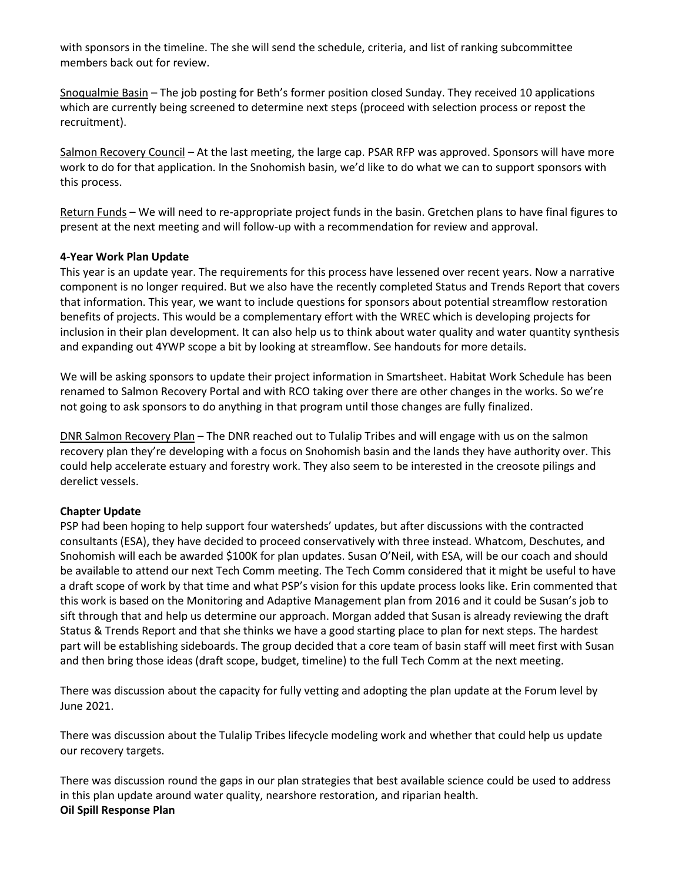with sponsors in the timeline. The she will send the schedule, criteria, and list of ranking subcommittee members back out for review.

Snoqualmie Basin – The job posting for Beth's former position closed Sunday. They received 10 applications which are currently being screened to determine next steps (proceed with selection process or repost the recruitment).

Salmon Recovery Council – At the last meeting, the large cap. PSAR RFP was approved. Sponsors will have more work to do for that application. In the Snohomish basin, we'd like to do what we can to support sponsors with this process.

Return Funds – We will need to re-appropriate project funds in the basin. Gretchen plans to have final figures to present at the next meeting and will follow-up with a recommendation for review and approval.

# **4-Year Work Plan Update**

This year is an update year. The requirements for this process have lessened over recent years. Now a narrative component is no longer required. But we also have the recently completed Status and Trends Report that covers that information. This year, we want to include questions for sponsors about potential streamflow restoration benefits of projects. This would be a complementary effort with the WREC which is developing projects for inclusion in their plan development. It can also help us to think about water quality and water quantity synthesis and expanding out 4YWP scope a bit by looking at streamflow. See handouts for more details.

We will be asking sponsors to update their project information in Smartsheet. Habitat Work Schedule has been renamed to Salmon Recovery Portal and with RCO taking over there are other changes in the works. So we're not going to ask sponsors to do anything in that program until those changes are fully finalized.

DNR Salmon Recovery Plan – The DNR reached out to Tulalip Tribes and will engage with us on the salmon recovery plan they're developing with a focus on Snohomish basin and the lands they have authority over. This could help accelerate estuary and forestry work. They also seem to be interested in the creosote pilings and derelict vessels.

# **Chapter Update**

PSP had been hoping to help support four watersheds' updates, but after discussions with the contracted consultants (ESA), they have decided to proceed conservatively with three instead. Whatcom, Deschutes, and Snohomish will each be awarded \$100K for plan updates. Susan O'Neil, with ESA, will be our coach and should be available to attend our next Tech Comm meeting. The Tech Comm considered that it might be useful to have a draft scope of work by that time and what PSP's vision for this update process looks like. Erin commented that this work is based on the Monitoring and Adaptive Management plan from 2016 and it could be Susan's job to sift through that and help us determine our approach. Morgan added that Susan is already reviewing the draft Status & Trends Report and that she thinks we have a good starting place to plan for next steps. The hardest part will be establishing sideboards. The group decided that a core team of basin staff will meet first with Susan and then bring those ideas (draft scope, budget, timeline) to the full Tech Comm at the next meeting.

There was discussion about the capacity for fully vetting and adopting the plan update at the Forum level by June 2021.

There was discussion about the Tulalip Tribes lifecycle modeling work and whether that could help us update our recovery targets.

There was discussion round the gaps in our plan strategies that best available science could be used to address in this plan update around water quality, nearshore restoration, and riparian health. **Oil Spill Response Plan**